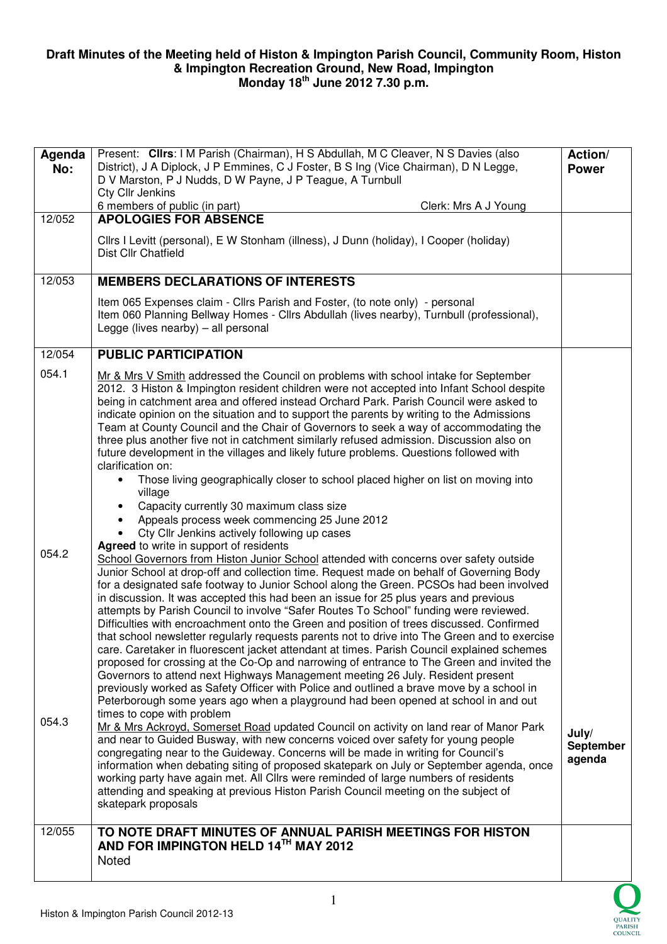## **Draft Minutes of the Meeting held of Histon & Impington Parish Council, Community Room, Histon & Impington Recreation Ground, New Road, Impington Monday 18th June 2012 7.30 p.m.**

| Agenda<br>No:  | Present: Clirs: I M Parish (Chairman), H S Abdullah, M C Cleaver, N S Davies (also<br>District), J A Diplock, J P Emmines, C J Foster, B S Ing (Vice Chairman), D N Legge,<br>D V Marston, P J Nudds, D W Payne, J P Teague, A Turnbull<br><b>Cty Cllr Jenkins</b><br>6 members of public (in part)<br>Clerk: Mrs A J Young                                                                                                                                                                                                                                                                                                                                                                                                                                                                                                                                                                                                                                                                                                                                                                                                                                                                                                                                                                                                                                                                                                                                                                                                                                                                                                                                                                                                                                                                                                                                                                                 |                              |
|----------------|-------------------------------------------------------------------------------------------------------------------------------------------------------------------------------------------------------------------------------------------------------------------------------------------------------------------------------------------------------------------------------------------------------------------------------------------------------------------------------------------------------------------------------------------------------------------------------------------------------------------------------------------------------------------------------------------------------------------------------------------------------------------------------------------------------------------------------------------------------------------------------------------------------------------------------------------------------------------------------------------------------------------------------------------------------------------------------------------------------------------------------------------------------------------------------------------------------------------------------------------------------------------------------------------------------------------------------------------------------------------------------------------------------------------------------------------------------------------------------------------------------------------------------------------------------------------------------------------------------------------------------------------------------------------------------------------------------------------------------------------------------------------------------------------------------------------------------------------------------------------------------------------------------------|------------------------------|
| 12/052         | <b>APOLOGIES FOR ABSENCE</b>                                                                                                                                                                                                                                                                                                                                                                                                                                                                                                                                                                                                                                                                                                                                                                                                                                                                                                                                                                                                                                                                                                                                                                                                                                                                                                                                                                                                                                                                                                                                                                                                                                                                                                                                                                                                                                                                                |                              |
|                | Cllrs I Levitt (personal), E W Stonham (illness), J Dunn (holiday), I Cooper (holiday)<br>Dist Cllr Chatfield                                                                                                                                                                                                                                                                                                                                                                                                                                                                                                                                                                                                                                                                                                                                                                                                                                                                                                                                                                                                                                                                                                                                                                                                                                                                                                                                                                                                                                                                                                                                                                                                                                                                                                                                                                                               |                              |
| 12/053         | <b>MEMBERS DECLARATIONS OF INTERESTS</b>                                                                                                                                                                                                                                                                                                                                                                                                                                                                                                                                                                                                                                                                                                                                                                                                                                                                                                                                                                                                                                                                                                                                                                                                                                                                                                                                                                                                                                                                                                                                                                                                                                                                                                                                                                                                                                                                    |                              |
|                | Item 065 Expenses claim - Cllrs Parish and Foster, (to note only) - personal<br>Item 060 Planning Bellway Homes - Cllrs Abdullah (lives nearby), Turnbull (professional),<br>Legge (lives nearby) $-$ all personal                                                                                                                                                                                                                                                                                                                                                                                                                                                                                                                                                                                                                                                                                                                                                                                                                                                                                                                                                                                                                                                                                                                                                                                                                                                                                                                                                                                                                                                                                                                                                                                                                                                                                          |                              |
| 12/054         | <b>PUBLIC PARTICIPATION</b>                                                                                                                                                                                                                                                                                                                                                                                                                                                                                                                                                                                                                                                                                                                                                                                                                                                                                                                                                                                                                                                                                                                                                                                                                                                                                                                                                                                                                                                                                                                                                                                                                                                                                                                                                                                                                                                                                 |                              |
| 054.1<br>054.2 | Mr & Mrs V Smith addressed the Council on problems with school intake for September<br>2012. 3 Histon & Impington resident children were not accepted into Infant School despite<br>being in catchment area and offered instead Orchard Park. Parish Council were asked to<br>indicate opinion on the situation and to support the parents by writing to the Admissions<br>Team at County Council and the Chair of Governors to seek a way of accommodating the<br>three plus another five not in catchment similarly refused admission. Discussion also on<br>future development in the villages and likely future problems. Questions followed with<br>clarification on:<br>Those living geographically closer to school placed higher on list on moving into<br>village<br>Capacity currently 30 maximum class size<br>Appeals process week commencing 25 June 2012<br>Cty Cllr Jenkins actively following up cases<br>Agreed to write in support of residents<br>School Governors from Histon Junior School attended with concerns over safety outside<br>Junior School at drop-off and collection time. Request made on behalf of Governing Body<br>for a designated safe footway to Junior School along the Green. PCSOs had been involved<br>in discussion. It was accepted this had been an issue for 25 plus years and previous<br>attempts by Parish Council to involve "Safer Routes To School" funding were reviewed.<br>Difficulties with encroachment onto the Green and position of trees discussed. Confirmed<br>that school newsletter regularly requests parents not to drive into The Green and to exercise<br>care. Caretaker in fluorescent jacket attendant at times. Parish Council explained schemes<br>proposed for crossing at the Co-Op and narrowing of entrance to The Green and invited the<br>Governors to attend next Highways Management meeting 26 July. Resident present |                              |
| 054.3          | previously worked as Safety Officer with Police and outlined a brave move by a school in<br>Peterborough some years ago when a playground had been opened at school in and out<br>times to cope with problem<br>Mr & Mrs Ackroyd, Somerset Road updated Council on activity on land rear of Manor Park<br>and near to Guided Busway, with new concerns voiced over safety for young people<br>congregating near to the Guideway. Concerns will be made in writing for Council's<br>information when debating siting of proposed skatepark on July or September agenda, once<br>working party have again met. All Cllrs were reminded of large numbers of residents<br>attending and speaking at previous Histon Parish Council meeting on the subject of                                                                                                                                                                                                                                                                                                                                                                                                                                                                                                                                                                                                                                                                                                                                                                                                                                                                                                                                                                                                                                                                                                                                                    | July/<br>September<br>agenda |
|                | skatepark proposals                                                                                                                                                                                                                                                                                                                                                                                                                                                                                                                                                                                                                                                                                                                                                                                                                                                                                                                                                                                                                                                                                                                                                                                                                                                                                                                                                                                                                                                                                                                                                                                                                                                                                                                                                                                                                                                                                         |                              |
| 12/055         | TO NOTE DRAFT MINUTES OF ANNUAL PARISH MEETINGS FOR HISTON<br>AND FOR IMPINGTON HELD 14TH MAY 2012<br>Noted                                                                                                                                                                                                                                                                                                                                                                                                                                                                                                                                                                                                                                                                                                                                                                                                                                                                                                                                                                                                                                                                                                                                                                                                                                                                                                                                                                                                                                                                                                                                                                                                                                                                                                                                                                                                 |                              |

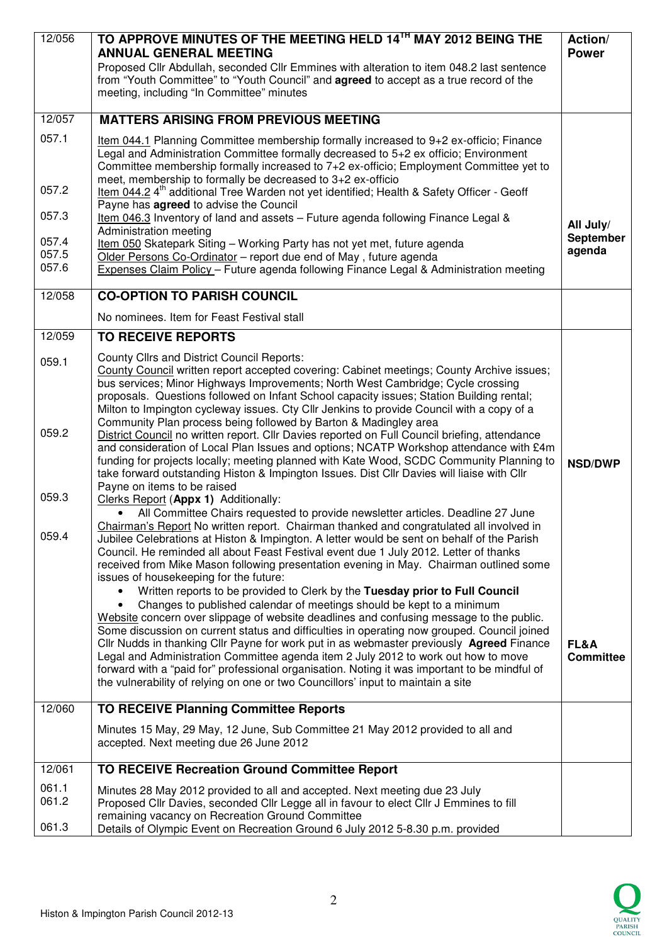| 12/056                           | TO APPROVE MINUTES OF THE MEETING HELD 14TH MAY 2012 BEING THE<br><b>ANNUAL GENERAL MEETING</b><br>Proposed Cllr Abdullah, seconded Cllr Emmines with alteration to item 048.2 last sentence<br>from "Youth Committee" to "Youth Council" and <b>agreed</b> to accept as a true record of the<br>meeting, including "In Committee" minutes                                                                                                                                                                                                                                                                                                                                                                                                                                                                                                                                                                                                                                                                                                                                                                                                                                                                                                                                                                                                                                                                                                                                                                                                                                                                                                                                                                                                                                                                                                                                                                                                                                                                                                                                                                | Action/<br><b>Power</b>                    |
|----------------------------------|-----------------------------------------------------------------------------------------------------------------------------------------------------------------------------------------------------------------------------------------------------------------------------------------------------------------------------------------------------------------------------------------------------------------------------------------------------------------------------------------------------------------------------------------------------------------------------------------------------------------------------------------------------------------------------------------------------------------------------------------------------------------------------------------------------------------------------------------------------------------------------------------------------------------------------------------------------------------------------------------------------------------------------------------------------------------------------------------------------------------------------------------------------------------------------------------------------------------------------------------------------------------------------------------------------------------------------------------------------------------------------------------------------------------------------------------------------------------------------------------------------------------------------------------------------------------------------------------------------------------------------------------------------------------------------------------------------------------------------------------------------------------------------------------------------------------------------------------------------------------------------------------------------------------------------------------------------------------------------------------------------------------------------------------------------------------------------------------------------------|--------------------------------------------|
| 12/057                           | <b>MATTERS ARISING FROM PREVIOUS MEETING</b>                                                                                                                                                                                                                                                                                                                                                                                                                                                                                                                                                                                                                                                                                                                                                                                                                                                                                                                                                                                                                                                                                                                                                                                                                                                                                                                                                                                                                                                                                                                                                                                                                                                                                                                                                                                                                                                                                                                                                                                                                                                              |                                            |
| 057.1                            | Item 044.1 Planning Committee membership formally increased to 9+2 ex-officio; Finance<br>Legal and Administration Committee formally decreased to 5+2 ex officio; Environment<br>Committee membership formally increased to 7+2 ex-officio; Employment Committee yet to<br>meet, membership to formally be decreased to 3+2 ex-officio                                                                                                                                                                                                                                                                                                                                                                                                                                                                                                                                                                                                                                                                                                                                                                                                                                                                                                                                                                                                                                                                                                                                                                                                                                                                                                                                                                                                                                                                                                                                                                                                                                                                                                                                                                   |                                            |
| 057.2                            | Item 044.2 4 <sup>th</sup> additional Tree Warden not yet identified; Health & Safety Officer - Geoff                                                                                                                                                                                                                                                                                                                                                                                                                                                                                                                                                                                                                                                                                                                                                                                                                                                                                                                                                                                                                                                                                                                                                                                                                                                                                                                                                                                                                                                                                                                                                                                                                                                                                                                                                                                                                                                                                                                                                                                                     |                                            |
| 057.3                            | Payne has agreed to advise the Council<br>Item 046.3 Inventory of land and assets - Future agenda following Finance Legal &<br>Administration meeting                                                                                                                                                                                                                                                                                                                                                                                                                                                                                                                                                                                                                                                                                                                                                                                                                                                                                                                                                                                                                                                                                                                                                                                                                                                                                                                                                                                                                                                                                                                                                                                                                                                                                                                                                                                                                                                                                                                                                     | All July/                                  |
| 057.4<br>057.5<br>057.6          | Item 050 Skatepark Siting - Working Party has not yet met, future agenda<br>Older Persons Co-Ordinator - report due end of May, future agenda<br>Expenses Claim Policy - Future agenda following Finance Legal & Administration meeting                                                                                                                                                                                                                                                                                                                                                                                                                                                                                                                                                                                                                                                                                                                                                                                                                                                                                                                                                                                                                                                                                                                                                                                                                                                                                                                                                                                                                                                                                                                                                                                                                                                                                                                                                                                                                                                                   | September<br>agenda                        |
| 12/058                           | <b>CO-OPTION TO PARISH COUNCIL</b>                                                                                                                                                                                                                                                                                                                                                                                                                                                                                                                                                                                                                                                                                                                                                                                                                                                                                                                                                                                                                                                                                                                                                                                                                                                                                                                                                                                                                                                                                                                                                                                                                                                                                                                                                                                                                                                                                                                                                                                                                                                                        |                                            |
|                                  | No nominees. Item for Feast Festival stall                                                                                                                                                                                                                                                                                                                                                                                                                                                                                                                                                                                                                                                                                                                                                                                                                                                                                                                                                                                                                                                                                                                                                                                                                                                                                                                                                                                                                                                                                                                                                                                                                                                                                                                                                                                                                                                                                                                                                                                                                                                                |                                            |
| 12/059                           | <b>TO RECEIVE REPORTS</b>                                                                                                                                                                                                                                                                                                                                                                                                                                                                                                                                                                                                                                                                                                                                                                                                                                                                                                                                                                                                                                                                                                                                                                                                                                                                                                                                                                                                                                                                                                                                                                                                                                                                                                                                                                                                                                                                                                                                                                                                                                                                                 |                                            |
| 059.1<br>059.2<br>059.3<br>059.4 | <b>County Cllrs and District Council Reports:</b><br>County Council written report accepted covering: Cabinet meetings; County Archive issues;<br>bus services; Minor Highways Improvements; North West Cambridge; Cycle crossing<br>proposals. Questions followed on Infant School capacity issues; Station Building rental;<br>Milton to Impington cycleway issues. Cty Cllr Jenkins to provide Council with a copy of a<br>Community Plan process being followed by Barton & Madingley area<br>District Council no written report. Cllr Davies reported on Full Council briefing, attendance<br>and consideration of Local Plan Issues and options; NCATP Workshop attendance with £4m<br>funding for projects locally; meeting planned with Kate Wood, SCDC Community Planning to<br>take forward outstanding Histon & Impington Issues. Dist Cllr Davies will liaise with Cllr<br>Payne on items to be raised<br>Clerks Report (Appx 1) Additionally:<br>All Committee Chairs requested to provide newsletter articles. Deadline 27 June<br>Chairman's Report No written report. Chairman thanked and congratulated all involved in<br>Jubilee Celebrations at Histon & Impington. A letter would be sent on behalf of the Parish<br>Council. He reminded all about Feast Festival event due 1 July 2012. Letter of thanks<br>received from Mike Mason following presentation evening in May. Chairman outlined some<br>issues of housekeeping for the future:<br>Written reports to be provided to Clerk by the Tuesday prior to Full Council<br>Changes to published calendar of meetings should be kept to a minimum<br>Website concern over slippage of website deadlines and confusing message to the public.<br>Some discussion on current status and difficulties in operating now grouped. Council joined<br>Cllr Nudds in thanking Cllr Payne for work put in as webmaster previously Agreed Finance<br>Legal and Administration Committee agenda item 2 July 2012 to work out how to move<br>forward with a "paid for" professional organisation. Noting it was important to be mindful of | <b>NSD/DWP</b><br>FL&A<br><b>Committee</b> |
|                                  | the vulnerability of relying on one or two Councillors' input to maintain a site                                                                                                                                                                                                                                                                                                                                                                                                                                                                                                                                                                                                                                                                                                                                                                                                                                                                                                                                                                                                                                                                                                                                                                                                                                                                                                                                                                                                                                                                                                                                                                                                                                                                                                                                                                                                                                                                                                                                                                                                                          |                                            |
| 12/060                           | <b>TO RECEIVE Planning Committee Reports</b>                                                                                                                                                                                                                                                                                                                                                                                                                                                                                                                                                                                                                                                                                                                                                                                                                                                                                                                                                                                                                                                                                                                                                                                                                                                                                                                                                                                                                                                                                                                                                                                                                                                                                                                                                                                                                                                                                                                                                                                                                                                              |                                            |
|                                  | Minutes 15 May, 29 May, 12 June, Sub Committee 21 May 2012 provided to all and<br>accepted. Next meeting due 26 June 2012                                                                                                                                                                                                                                                                                                                                                                                                                                                                                                                                                                                                                                                                                                                                                                                                                                                                                                                                                                                                                                                                                                                                                                                                                                                                                                                                                                                                                                                                                                                                                                                                                                                                                                                                                                                                                                                                                                                                                                                 |                                            |
| 12/061                           | TO RECEIVE Recreation Ground Committee Report                                                                                                                                                                                                                                                                                                                                                                                                                                                                                                                                                                                                                                                                                                                                                                                                                                                                                                                                                                                                                                                                                                                                                                                                                                                                                                                                                                                                                                                                                                                                                                                                                                                                                                                                                                                                                                                                                                                                                                                                                                                             |                                            |
| 061.1<br>061.2<br>061.3          | Minutes 28 May 2012 provided to all and accepted. Next meeting due 23 July<br>Proposed Cllr Davies, seconded Cllr Legge all in favour to elect Cllr J Emmines to fill<br>remaining vacancy on Recreation Ground Committee<br>Details of Olympic Event on Recreation Ground 6 July 2012 5-8.30 p.m. provided                                                                                                                                                                                                                                                                                                                                                                                                                                                                                                                                                                                                                                                                                                                                                                                                                                                                                                                                                                                                                                                                                                                                                                                                                                                                                                                                                                                                                                                                                                                                                                                                                                                                                                                                                                                               |                                            |

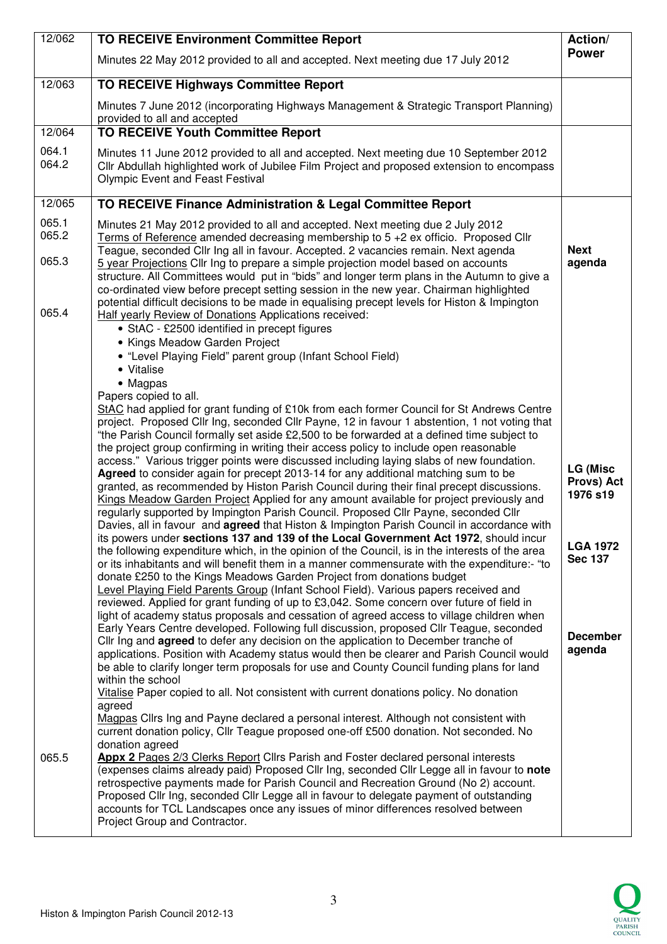| 12/062         | <b>TO RECEIVE Environment Committee Report</b>                                                                                                                                                                                                                                                                                                                                                                                                                                                                                                                                                  | Action/                                   |
|----------------|-------------------------------------------------------------------------------------------------------------------------------------------------------------------------------------------------------------------------------------------------------------------------------------------------------------------------------------------------------------------------------------------------------------------------------------------------------------------------------------------------------------------------------------------------------------------------------------------------|-------------------------------------------|
|                | Minutes 22 May 2012 provided to all and accepted. Next meeting due 17 July 2012                                                                                                                                                                                                                                                                                                                                                                                                                                                                                                                 | <b>Power</b>                              |
| 12/063         | TO RECEIVE Highways Committee Report                                                                                                                                                                                                                                                                                                                                                                                                                                                                                                                                                            |                                           |
|                | Minutes 7 June 2012 (incorporating Highways Management & Strategic Transport Planning)<br>provided to all and accepted                                                                                                                                                                                                                                                                                                                                                                                                                                                                          |                                           |
| 12/064         | <b>TO RECEIVE Youth Committee Report</b>                                                                                                                                                                                                                                                                                                                                                                                                                                                                                                                                                        |                                           |
| 064.1<br>064.2 | Minutes 11 June 2012 provided to all and accepted. Next meeting due 10 September 2012<br>Cllr Abdullah highlighted work of Jubilee Film Project and proposed extension to encompass<br><b>Olympic Event and Feast Festival</b>                                                                                                                                                                                                                                                                                                                                                                  |                                           |
| 12/065         | TO RECEIVE Finance Administration & Legal Committee Report                                                                                                                                                                                                                                                                                                                                                                                                                                                                                                                                      |                                           |
| 065.1          | Minutes 21 May 2012 provided to all and accepted. Next meeting due 2 July 2012                                                                                                                                                                                                                                                                                                                                                                                                                                                                                                                  |                                           |
| 065.2<br>065.3 | Terms of Reference amended decreasing membership to 5 +2 ex officio. Proposed Cllr<br>Teague, seconded Cllr Ing all in favour. Accepted. 2 vacancies remain. Next agenda<br>5 year Projections Cllr Ing to prepare a simple projection model based on accounts<br>structure. All Committees would put in "bids" and longer term plans in the Autumn to give a<br>co-ordinated view before precept setting session in the new year. Chairman highlighted                                                                                                                                         | <b>Next</b><br>agenda                     |
| 065.4          | potential difficult decisions to be made in equalising precept levels for Histon & Impington<br>Half yearly Review of Donations Applications received:<br>• StAC - £2500 identified in precept figures                                                                                                                                                                                                                                                                                                                                                                                          |                                           |
|                | • Kings Meadow Garden Project                                                                                                                                                                                                                                                                                                                                                                                                                                                                                                                                                                   |                                           |
|                | • "Level Playing Field" parent group (Infant School Field)                                                                                                                                                                                                                                                                                                                                                                                                                                                                                                                                      |                                           |
|                | • Vitalise<br>• Magpas                                                                                                                                                                                                                                                                                                                                                                                                                                                                                                                                                                          |                                           |
|                | Papers copied to all.                                                                                                                                                                                                                                                                                                                                                                                                                                                                                                                                                                           |                                           |
|                | StAC had applied for grant funding of £10k from each former Council for St Andrews Centre<br>project. Proposed Cllr Ing, seconded Cllr Payne, 12 in favour 1 abstention, 1 not voting that<br>"the Parish Council formally set aside £2,500 to be forwarded at a defined time subject to                                                                                                                                                                                                                                                                                                        |                                           |
|                | the project group confirming in writing their access policy to include open reasonable<br>access." Various trigger points were discussed including laying slabs of new foundation.<br>Agreed to consider again for precept 2013-14 for any additional matching sum to be<br>granted, as recommended by Histon Parish Council during their final precept discussions.<br>Kings Meadow Garden Project Applied for any amount available for project previously and<br>regularly supported by Impington Parish Council. Proposed Cllr Payne, seconded Cllr                                          | <b>LG (Misc</b><br>Provs) Act<br>1976 s19 |
|                | Davies, all in favour and <b>agreed</b> that Histon & Impington Parish Council in accordance with<br>its powers under sections 137 and 139 of the Local Government Act 1972, should incur<br>the following expenditure which, in the opinion of the Council, is in the interests of the area<br>or its inhabitants and will benefit them in a manner commensurate with the expenditure:- "to<br>donate £250 to the Kings Meadows Garden Project from donations budget<br>Level Playing Field Parents Group (Infant School Field). Various papers received and                                   | <b>LGA 1972</b><br><b>Sec 137</b>         |
|                | reviewed. Applied for grant funding of up to £3,042. Some concern over future of field in<br>light of academy status proposals and cessation of agreed access to village children when<br>Early Years Centre developed. Following full discussion, proposed Cllr Teague, seconded<br>Cllr Ing and <b>agreed</b> to defer any decision on the application to December tranche of<br>applications. Position with Academy status would then be clearer and Parish Council would<br>be able to clarify longer term proposals for use and County Council funding plans for land<br>within the school | <b>December</b><br>agenda                 |
|                | Vitalise Paper copied to all. Not consistent with current donations policy. No donation<br>agreed<br>Magpas Cllrs Ing and Payne declared a personal interest. Although not consistent with<br>current donation policy, Cllr Teague proposed one-off £500 donation. Not seconded. No<br>donation agreed                                                                                                                                                                                                                                                                                          |                                           |
| 065.5          | Appx 2 Pages 2/3 Clerks Report Cllrs Parish and Foster declared personal interests<br>(expenses claims already paid) Proposed Cllr Ing, seconded Cllr Legge all in favour to note<br>retrospective payments made for Parish Council and Recreation Ground (No 2) account.<br>Proposed Cllr Ing, seconded Cllr Legge all in favour to delegate payment of outstanding<br>accounts for TCL Landscapes once any issues of minor differences resolved between<br>Project Group and Contractor.                                                                                                      |                                           |

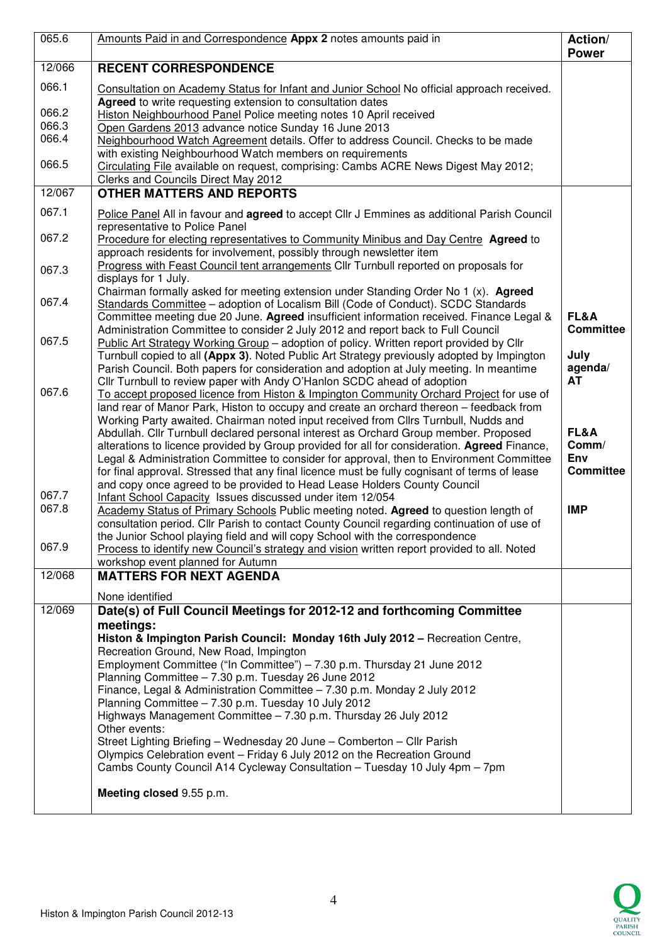| 065.6          | Amounts Paid in and Correspondence Appx 2 notes amounts paid in                                                                                                                          |                  |
|----------------|------------------------------------------------------------------------------------------------------------------------------------------------------------------------------------------|------------------|
| 12/066         | <b>RECENT CORRESPONDENCE</b>                                                                                                                                                             | <b>Power</b>     |
| 066.1          | Consultation on Academy Status for Infant and Junior School No official approach received.<br>Agreed to write requesting extension to consultation dates                                 |                  |
| 066.2<br>066.3 | Histon Neighbourhood Panel Police meeting notes 10 April received                                                                                                                        |                  |
| 066.4          | Open Gardens 2013 advance notice Sunday 16 June 2013<br>Neighbourhood Watch Agreement details. Offer to address Council. Checks to be made                                               |                  |
|                | with existing Neighbourhood Watch members on requirements                                                                                                                                |                  |
| 066.5          | Circulating File available on request, comprising: Cambs ACRE News Digest May 2012;                                                                                                      |                  |
| 12/067         | Clerks and Councils Direct May 2012<br><b>OTHER MATTERS AND REPORTS</b>                                                                                                                  |                  |
| 067.1          |                                                                                                                                                                                          |                  |
|                | Police Panel All in favour and agreed to accept Cllr J Emmines as additional Parish Council<br>representative to Police Panel                                                            |                  |
| 067.2          | Procedure for electing representatives to Community Minibus and Day Centre Agreed to<br>approach residents for involvement, possibly through newsletter item                             |                  |
| 067.3          | Progress with Feast Council tent arrangements Cllr Turnbull reported on proposals for<br>displays for 1 July.                                                                            |                  |
| 067.4          | Chairman formally asked for meeting extension under Standing Order No 1 (x). Agreed<br>Standards Committee - adoption of Localism Bill (Code of Conduct). SCDC Standards                 |                  |
|                | Committee meeting due 20 June. Agreed insufficient information received. Finance Legal &                                                                                                 | FL&A             |
| 067.5          | Administration Committee to consider 2 July 2012 and report back to Full Council<br>Public Art Strategy Working Group - adoption of policy. Written report provided by Cllr              | <b>Committee</b> |
|                | Turnbull copied to all (Appx 3). Noted Public Art Strategy previously adopted by Impington<br>Parish Council. Both papers for consideration and adoption at July meeting. In meantime    | July<br>agenda/  |
|                | Cllr Turnbull to review paper with Andy O'Hanlon SCDC ahead of adoption                                                                                                                  | <b>AT</b>        |
| 067.6          | To accept proposed licence from Histon & Impington Community Orchard Project for use of<br>land rear of Manor Park, Histon to occupy and create an orchard thereon - feedback from       |                  |
|                | Working Party awaited. Chairman noted input received from Cllrs Turnbull, Nudds and                                                                                                      |                  |
|                | Abdullah. Cllr Turnbull declared personal interest as Orchard Group member. Proposed                                                                                                     | FL&A             |
|                | alterations to licence provided by Group provided for all for consideration. Agreed Finance,<br>Legal & Administration Committee to consider for approval, then to Environment Committee | Comm/<br>Env     |
|                | for final approval. Stressed that any final licence must be fully cognisant of terms of lease                                                                                            | <b>Committee</b> |
|                | and copy once agreed to be provided to Head Lease Holders County Council                                                                                                                 |                  |
| 067.7<br>067.8 | Infant School Capacity Issues discussed under item 12/054<br>Academy Status of Primary Schools Public meeting noted. Agreed to question length of                                        | <b>IMP</b>       |
|                | consultation period. Cllr Parish to contact County Council regarding continuation of use of                                                                                              |                  |
|                | the Junior School playing field and will copy School with the correspondence                                                                                                             |                  |
| 067.9          | Process to identify new Council's strategy and vision written report provided to all. Noted<br>workshop event planned for Autumn                                                         |                  |
| 12/068         | <b>MATTERS FOR NEXT AGENDA</b>                                                                                                                                                           |                  |
|                | None identified                                                                                                                                                                          |                  |
| 12/069         | Date(s) of Full Council Meetings for 2012-12 and forthcoming Committee                                                                                                                   |                  |
|                | meetings:                                                                                                                                                                                |                  |
|                | Histon & Impington Parish Council: Monday 16th July 2012 - Recreation Centre,<br>Recreation Ground, New Road, Impington                                                                  |                  |
|                | Employment Committee ("In Committee") - 7.30 p.m. Thursday 21 June 2012                                                                                                                  |                  |
|                | Planning Committee - 7.30 p.m. Tuesday 26 June 2012                                                                                                                                      |                  |
|                | Finance, Legal & Administration Committee - 7.30 p.m. Monday 2 July 2012<br>Planning Committee - 7.30 p.m. Tuesday 10 July 2012                                                          |                  |
|                | Highways Management Committee - 7.30 p.m. Thursday 26 July 2012                                                                                                                          |                  |
|                | Other events:                                                                                                                                                                            |                  |
|                | Street Lighting Briefing - Wednesday 20 June - Comberton - Cllr Parish<br>Olympics Celebration event - Friday 6 July 2012 on the Recreation Ground                                       |                  |
|                | Cambs County Council A14 Cycleway Consultation - Tuesday 10 July 4pm - 7pm                                                                                                               |                  |
|                | Meeting closed 9.55 p.m.                                                                                                                                                                 |                  |
|                |                                                                                                                                                                                          |                  |

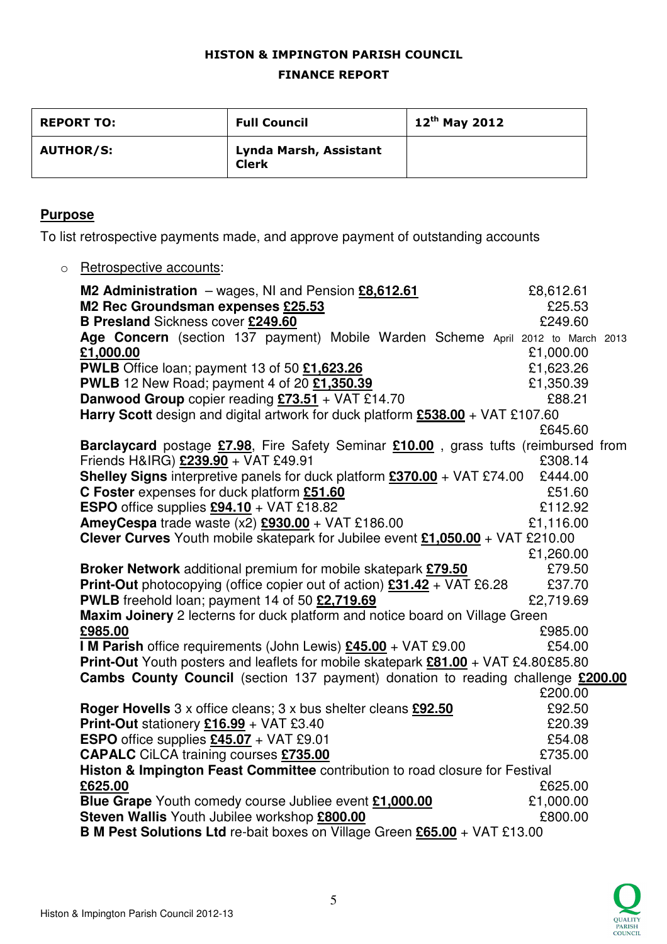## HISTON & IMPINGTON PARISH COUNCIL FINANCE REPORT

| <b>REPORT TO:</b> | <b>Full Council</b>                    | $12^{th}$ May 2012 |
|-------------------|----------------------------------------|--------------------|
| <b>AUTHOR/S:</b>  | Lynda Marsh, Assistant<br><b>Clerk</b> |                    |

## **Purpose**

To list retrospective payments made, and approve payment of outstanding accounts

o Retrospective accounts:

| M2 Administration $-$ wages, NI and Pension $£8,612.61$                                                    | £8,612.61 |
|------------------------------------------------------------------------------------------------------------|-----------|
| M2 Rec Groundsman expenses £25.53                                                                          | £25.53    |
| <b>B Presland Sickness cover £249.60</b>                                                                   | £249.60   |
| Age Concern (section 137 payment) Mobile Warden Scheme April 2012 to March 2013                            |           |
| £1,000.00                                                                                                  | £1,000.00 |
| PWLB Office loan; payment 13 of 50 £1,623.26                                                               | £1,623.26 |
| PWLB 12 New Road; payment 4 of 20 £1,350.39                                                                | £1,350.39 |
| Danwood Group copier reading $£73.51 + \text{VAT} £14.70$                                                  | £88.21    |
| Harry Scott design and digital artwork for duck platform £538.00 + VAT £107.60                             |           |
|                                                                                                            | £645.60   |
| <b>Barclaycard</b> postage <b>£7.98</b> , Fire Safety Seminar <b>£10.00</b> , grass tufts (reimbursed from |           |
| Friends H&IRG) £239.90 + VAT £49.91                                                                        | £308.14   |
| <b>Shelley Signs</b> interpretive panels for duck platform $£370.00 + VAT £74.00$                          | £444.00   |
| C Foster expenses for duck platform £51.60                                                                 | £51.60    |
| <b>ESPO</b> office supplies $£94.10 + VAT £18.82$                                                          | £112.92   |
| <b>AmeyCespa</b> trade waste $(x2)$ <b>£930.00</b> + VAT £186.00                                           | £1,116.00 |
| <b>Clever Curves</b> Youth mobile skatepark for Jubilee event $£1,050.00 + VAT £210.00$                    |           |
|                                                                                                            | £1,260.00 |
| Broker Network additional premium for mobile skatepark £79.50                                              | £79.50    |
| <b>Print-Out</b> photocopying (office copier out of action) $231.42 + \sqrt{AT} 26.28$                     | £37.70    |
| PWLB freehold loan; payment 14 of 50 £2,719.69                                                             | £2,719.69 |
| Maxim Joinery 2 lecterns for duck platform and notice board on Village Green                               |           |
| £985.00                                                                                                    | £985.00   |
| I M Parish office requirements (John Lewis) £45.00 + VAT £9.00                                             | £54.00    |
| Print-Out Youth posters and leaflets for mobile skatepark £81.00 + VAT £4.80£85.80                         |           |
| Cambs County Council (section 137 payment) donation to reading challenge £200.00                           |           |
|                                                                                                            | £200.00   |
| Roger Hovells 3 x office cleans; 3 x bus shelter cleans £92.50                                             | £92.50    |
| <b>Print-Out</b> stationery $£16.99 + VAT £3.40$                                                           | £20.39    |
| <b>ESPO</b> office supplies $£45.07 + VAT £9.01$                                                           | £54.08    |
| <b>CAPALC</b> CiLCA training courses £735.00                                                               | £735.00   |
| Histon & Impington Feast Committee contribution to road closure for Festival                               |           |
| £625.00                                                                                                    | £625.00   |
| Blue Grape Youth comedy course Jubliee event £1,000.00                                                     | £1,000.00 |
| Steven Wallis Youth Jubilee workshop £800.00                                                               | £800.00   |
| B M Pest Solutions Ltd re-bait boxes on Village Green £65.00 + VAT £13.00                                  |           |